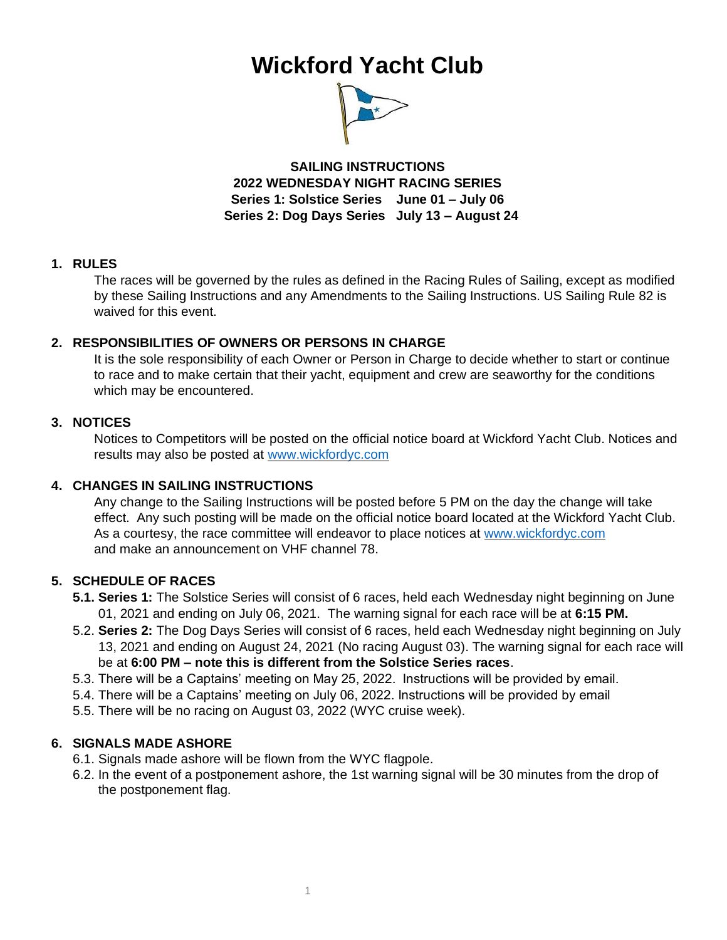# **Wickford Yacht Club**



**SAILING INSTRUCTIONS 2022 WEDNESDAY NIGHT RACING SERIES Series 1: Solstice Series June 01 – July 06 Series 2: Dog Days Series July 13 – August 24** 

#### **1. RULES**

The races will be governed by the rules as defined in the Racing Rules of Sailing, except as modified by these Sailing Instructions and any Amendments to the Sailing Instructions. US Sailing Rule 82 is waived for this event.

# **2. RESPONSIBILITIES OF OWNERS OR PERSONS IN CHARGE**

It is the sole responsibility of each Owner or Person in Charge to decide whether to start or continue to race and to make certain that their yacht, equipment and crew are seaworthy for the conditions which may be encountered.

#### **3. NOTICES**

Notices to Competitors will be posted on the official notice board at Wickford Yacht Club. Notices and results may also be posted at [www.wickfordyc.com](http://www.wickfordyc.com/) 

# **4. CHANGES IN SAILING INSTRUCTIONS**

Any change to the Sailing Instructions will be posted before 5 PM on the day the change will take effect. Any such posting will be made on the official notice board located at the Wickford Yacht Club. As a courtesy, the race committee will endeavor to place notices at [www.wickfordyc.com](http://www.wickfordyc.com/) and make an announcement on VHF channel 78.

# **5. SCHEDULE OF RACES**

- **5.1. Series 1:** The Solstice Series will consist of 6 races, held each Wednesday night beginning on June 01, 2021 and ending on July 06, 2021. The warning signal for each race will be at **6:15 PM.**
- 5.2. **Series 2:** The Dog Days Series will consist of 6 races, held each Wednesday night beginning on July 13, 2021 and ending on August 24, 2021 (No racing August 03). The warning signal for each race will be at **6:00 PM – note this is different from the Solstice Series races**.
- 5.3. There will be a Captains' meeting on May 25, 2022. Instructions will be provided by email.
- 5.4. There will be a Captains' meeting on July 06, 2022. Instructions will be provided by email
- 5.5. There will be no racing on August 03, 2022 (WYC cruise week).

#### **6. SIGNALS MADE ASHORE**

- 6.1. Signals made ashore will be flown from the WYC flagpole.
- 6.2. In the event of a postponement ashore, the 1st warning signal will be 30 minutes from the drop of the postponement flag.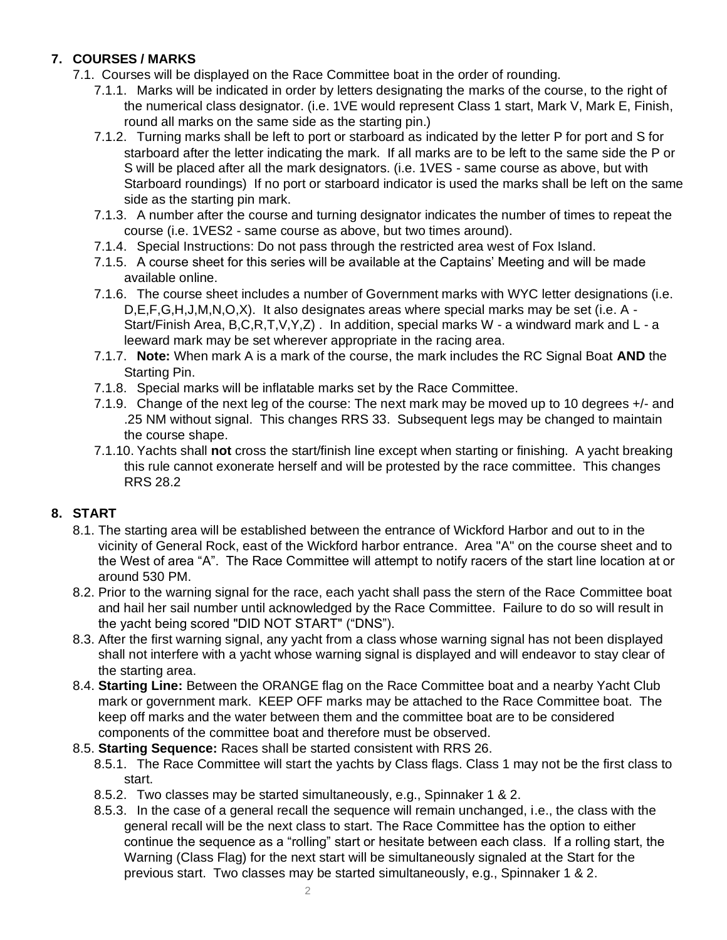# **7. COURSES / MARKS**

- 7.1. Courses will be displayed on the Race Committee boat in the order of rounding.
	- 7.1.1. Marks will be indicated in order by letters designating the marks of the course, to the right of the numerical class designator. (i.e. 1VE would represent Class 1 start, Mark V, Mark E, Finish, round all marks on the same side as the starting pin.)
	- 7.1.2. Turning marks shall be left to port or starboard as indicated by the letter P for port and S for starboard after the letter indicating the mark. If all marks are to be left to the same side the P or S will be placed after all the mark designators. (i.e. 1VES - same course as above, but with Starboard roundings) If no port or starboard indicator is used the marks shall be left on the same side as the starting pin mark.
	- 7.1.3. A number after the course and turning designator indicates the number of times to repeat the course (i.e. 1VES2 - same course as above, but two times around).
	- 7.1.4. Special Instructions: Do not pass through the restricted area west of Fox Island.
	- 7.1.5. A course sheet for this series will be available at the Captains' Meeting and will be made available online.
	- 7.1.6. The course sheet includes a number of Government marks with WYC letter designations (i.e. D,E,F,G,H,J,M,N,O,X). It also designates areas where special marks may be set (i.e. A - Start/Finish Area, B,C,R,T,V,Y,Z) . In addition, special marks W - a windward mark and L - a leeward mark may be set wherever appropriate in the racing area.
	- 7.1.7. **Note:** When mark A is a mark of the course, the mark includes the RC Signal Boat **AND** the Starting Pin.
	- 7.1.8. Special marks will be inflatable marks set by the Race Committee.
	- 7.1.9. Change of the next leg of the course: The next mark may be moved up to 10 degrees +/- and .25 NM without signal. This changes RRS 33. Subsequent legs may be changed to maintain the course shape.
	- 7.1.10. Yachts shall **not** cross the start/finish line except when starting or finishing. A yacht breaking this rule cannot exonerate herself and will be protested by the race committee. This changes RRS 28.2

# **8. START**

- 8.1. The starting area will be established between the entrance of Wickford Harbor and out to in the vicinity of General Rock, east of the Wickford harbor entrance. Area "A" on the course sheet and to the West of area "A". The Race Committee will attempt to notify racers of the start line location at or around 530 PM.
- 8.2. Prior to the warning signal for the race, each yacht shall pass the stern of the Race Committee boat and hail her sail number until acknowledged by the Race Committee. Failure to do so will result in the yacht being scored "DID NOT START" ("DNS").
- 8.3. After the first warning signal, any yacht from a class whose warning signal has not been displayed shall not interfere with a yacht whose warning signal is displayed and will endeavor to stay clear of the starting area.
- 8.4. **Starting Line:** Between the ORANGE flag on the Race Committee boat and a nearby Yacht Club mark or government mark. KEEP OFF marks may be attached to the Race Committee boat. The keep off marks and the water between them and the committee boat are to be considered components of the committee boat and therefore must be observed.
- 8.5. **Starting Sequence:** Races shall be started consistent with RRS 26.
	- 8.5.1. The Race Committee will start the yachts by Class flags. Class 1 may not be the first class to start.
	- 8.5.2. Two classes may be started simultaneously, e.g., Spinnaker 1 & 2.
	- 8.5.3. In the case of a general recall the sequence will remain unchanged, i.e., the class with the general recall will be the next class to start. The Race Committee has the option to either continue the sequence as a "rolling" start or hesitate between each class. If a rolling start, the Warning (Class Flag) for the next start will be simultaneously signaled at the Start for the previous start. Two classes may be started simultaneously, e.g., Spinnaker 1 & 2.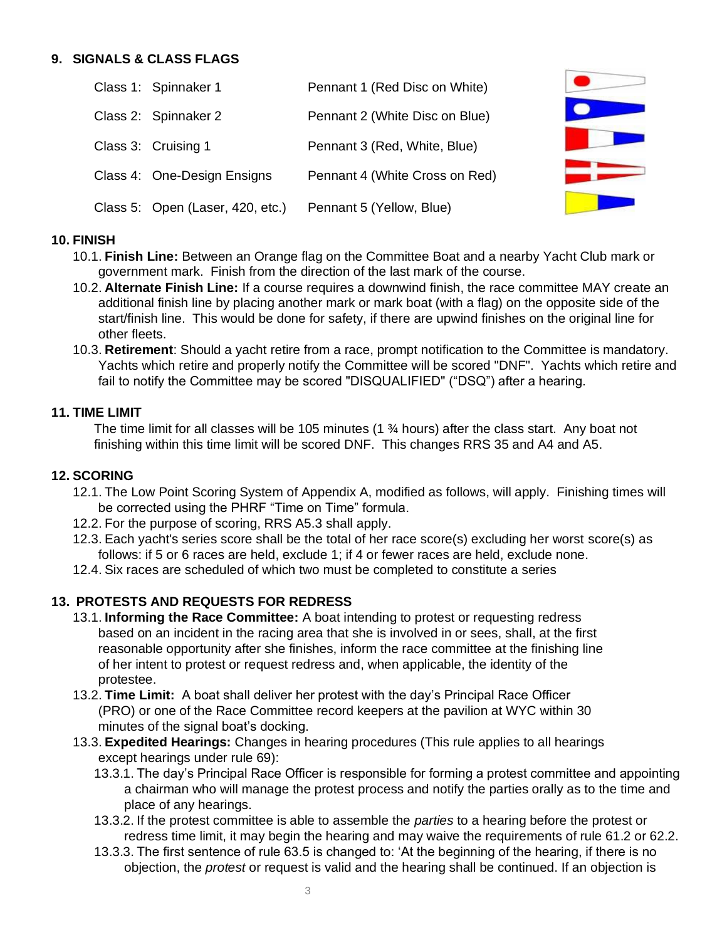#### **9. SIGNALS & CLASS FLAGS**

| Class 1: Spinnaker 1             | Pennant 1 (Red Disc on White)  |  |
|----------------------------------|--------------------------------|--|
| Class 2: Spinnaker 2             | Pennant 2 (White Disc on Blue) |  |
| Class 3: Cruising 1              | Pennant 3 (Red, White, Blue)   |  |
| Class 4: One-Design Ensigns      | Pennant 4 (White Cross on Red) |  |
| Class 5: Open (Laser, 420, etc.) | Pennant 5 (Yellow, Blue)       |  |

#### **10. FINISH**

- 10.1. **Finish Line:** Between an Orange flag on the Committee Boat and a nearby Yacht Club mark or government mark. Finish from the direction of the last mark of the course.
- 10.2. **Alternate Finish Line:** If a course requires a downwind finish, the race committee MAY create an additional finish line by placing another mark or mark boat (with a flag) on the opposite side of the start/finish line. This would be done for safety, if there are upwind finishes on the original line for other fleets.
- 10.3. **Retirement**: Should a yacht retire from a race, prompt notification to the Committee is mandatory. Yachts which retire and properly notify the Committee will be scored "DNF". Yachts which retire and fail to notify the Committee may be scored "DISQUALIFIED" ("DSQ") after a hearing.

#### **11. TIME LIMIT**

The time limit for all classes will be 105 minutes (1 ¾ hours) after the class start. Any boat not finishing within this time limit will be scored DNF. This changes RRS 35 and A4 and A5.

#### **12. SCORING**

- 12.1. The Low Point Scoring System of Appendix A, modified as follows, will apply. Finishing times will be corrected using the PHRF "Time on Time" formula.
- 12.2. For the purpose of scoring, RRS A5.3 shall apply.
- 12.3. Each yacht's series score shall be the total of her race score(s) excluding her worst score(s) as follows: if 5 or 6 races are held, exclude 1; if 4 or fewer races are held, exclude none.
- 12.4. Six races are scheduled of which two must be completed to constitute a series

# **13. PROTESTS AND REQUESTS FOR REDRESS**

- 13.1. **Informing the Race Committee:** A boat intending to protest or requesting redress based on an incident in the racing area that she is involved in or sees, shall, at the first reasonable opportunity after she finishes, inform the race committee at the finishing line of her intent to protest or request redress and, when applicable, the identity of the protestee.
- 13.2. **Time Limit:** A boat shall deliver her protest with the day's Principal Race Officer (PRO) or one of the Race Committee record keepers at the pavilion at WYC within 30 minutes of the signal boat's docking.
- 13.3. **Expedited Hearings:** Changes in hearing procedures (This rule applies to all hearings except hearings under rule 69):
	- 13.3.1. The day's Principal Race Officer is responsible for forming a protest committee and appointing a chairman who will manage the protest process and notify the parties orally as to the time and place of any hearings.
	- 13.3.2. If the protest committee is able to assemble the *parties* to a hearing before the protest or redress time limit, it may begin the hearing and may waive the requirements of rule 61.2 or 62.2.
	- 13.3.3. The first sentence of rule 63.5 is changed to: 'At the beginning of the hearing, if there is no objection, the *protest* or request is valid and the hearing shall be continued. If an objection is